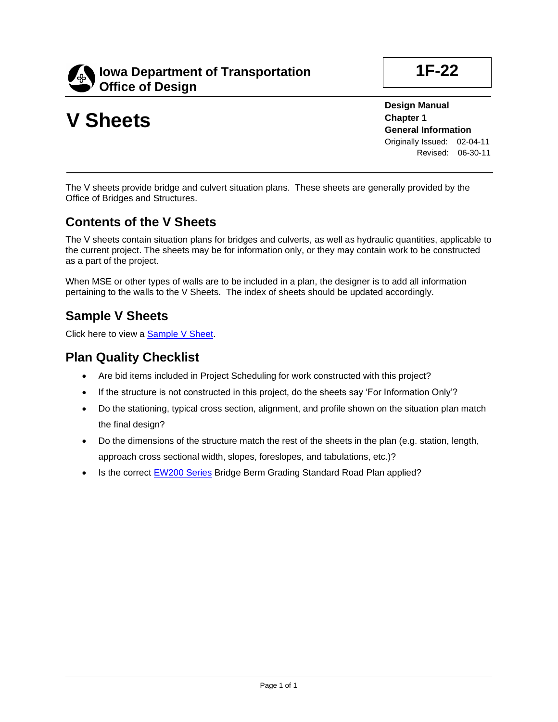

# **V Sheets**

**1F-22**

**Design Manual Chapter 1 General Information** Originally Issued: 02-04-11 Revised: 06-30-11

The V sheets provide bridge and culvert situation plans. These sheets are generally provided by the Office of Bridges and Structures.

#### **Contents of the V Sheets**

The V sheets contain situation plans for bridges and culverts, as well as hydraulic quantities, applicable to the current project. The sheets may be for information only, or they may contain work to be constructed as a part of the project.

When MSE or other types of walls are to be included in a plan, the designer is to add all information pertaining to the walls to the V Sheets. The index of sheets should be updated accordingly.

#### **Sample V Sheets**

Click here to view a [Sample V Sheet.](01f-22/SampleVSheet.pdf)

#### **Plan Quality Checklist**

- Are bid items included in Project Scheduling for work constructed with this project?
- If the structure is not constructed in this project, do the sheets say 'For Information Only'?
- Do the stationing, typical cross section, alignment, and profile shown on the situation plan match the final design?
- Do the dimensions of the structure match the rest of the sheets in the plan (e.g. station, length, approach cross sectional width, slopes, foreslopes, and tabulations, etc.)?
- Is the correct [EW200 Series](../SRP/CurrentBook/Sections/ew_section.pdf) Bridge Berm Grading Standard Road Plan applied?